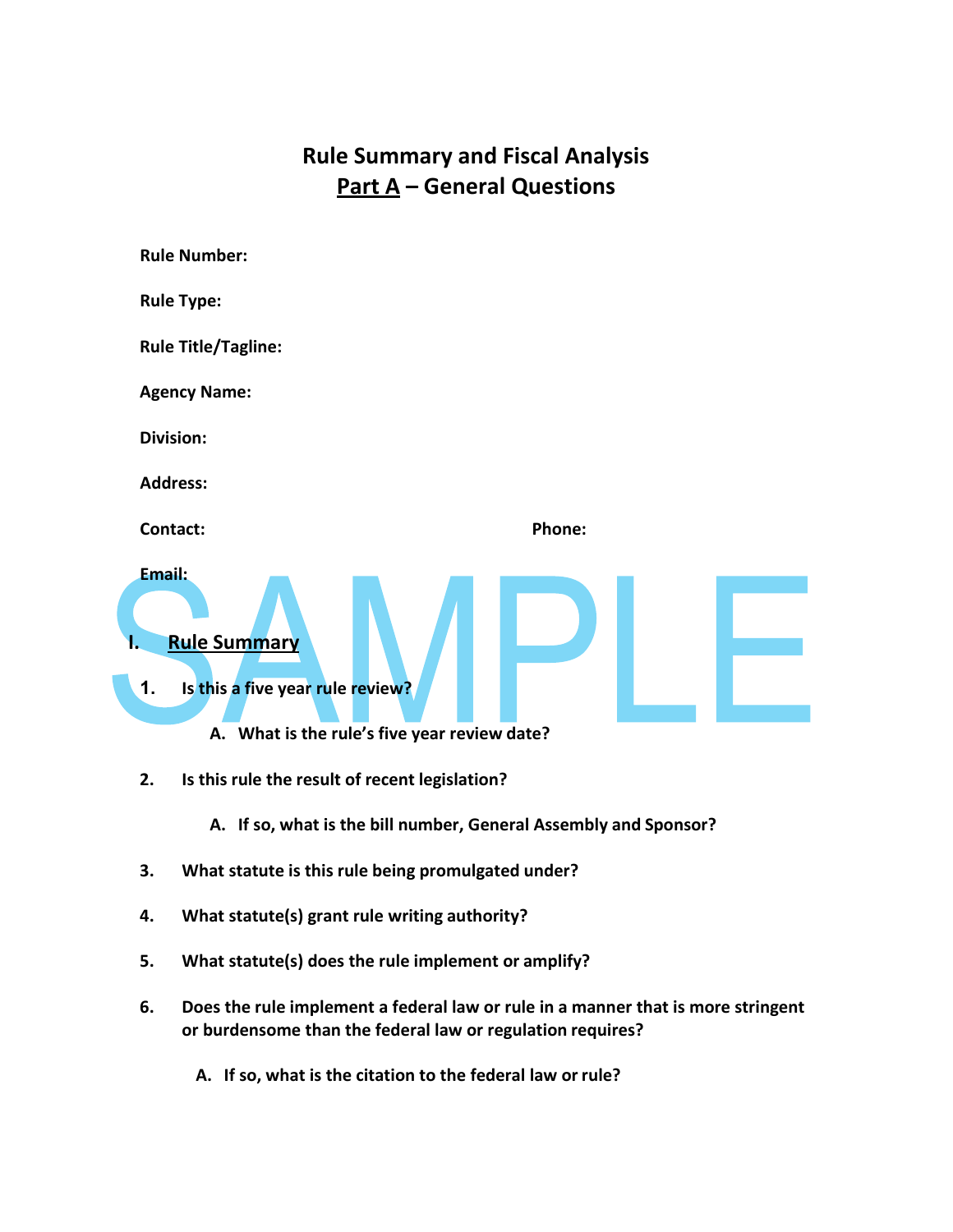## **Rule Summary and Fiscal Analysis Part A – General Questions**



- **2. Is this rule the result of recent legislation?**
	- **A. If so, what is the bill number, General Assembly and Sponsor?**
- **3. What statute is this rule being promulgated under?**
- **4. What statute(s) grant rule writing authority?**
- **5. What statute(s) does the rule implement or amplify?**
- **6. Does the rule implement a federal law or rule in a manner that is more stringent or burdensome than the federal law or regulation requires?**
	- **A. If so, what is the citation to the federal law or rule?**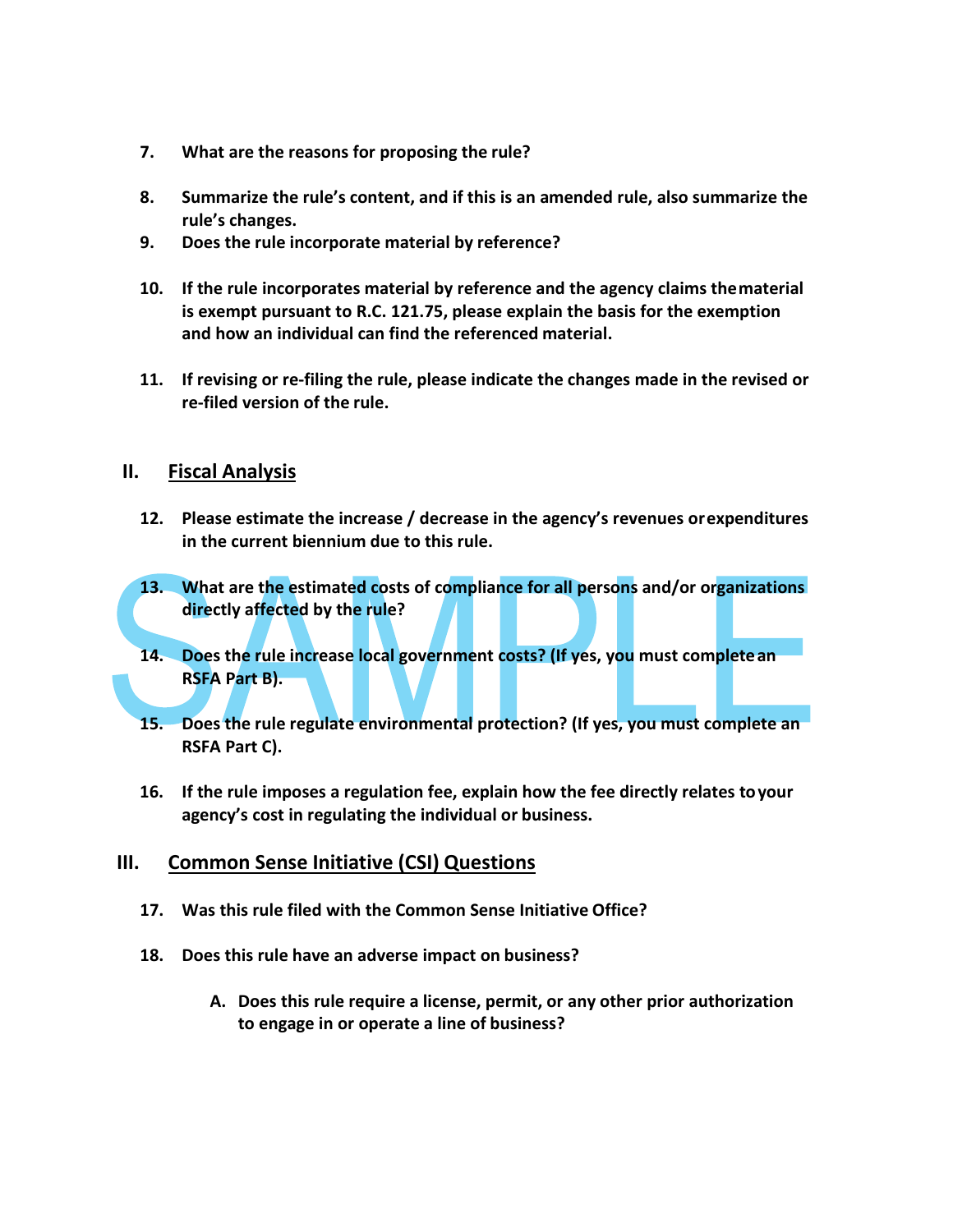- **7. What are the reasons for proposing the rule?**
- **8. Summarize the rule's content, and if this is an amended rule, also summarize the rule's changes.**
- **9. Does the rule incorporate material by reference?**
- **10. If the rule incorporates material by reference and the agency claims thematerial is exempt pursuant to R.C. 121.75, please explain the basis for the exemption and how an individual can find the referenced material.**
- **11. If revising or re-filing the rule, please indicate the changes made in the revised or re-filed version of the rule.**

## **II. Fiscal Analysis**

- **12. Please estimate the increase / decrease in the agency's revenues orexpenditures in the current biennium due to this rule.**
- **13. What are the estimated costs of compliance for all persons and/or organizations directly affected by the rule?**
- **14. Does the rule increase local government costs? (If yes, you must completean RSFA Part B).**
- **15. Does the rule regulate environmental protection? (If yes, you must complete an RSFA Part C).**
- **16. If the rule imposes a regulation fee, explain how the fee directly relates toyour agency's cost in regulating the individual or business.**

## **III. Common Sense Initiative (CSI) Questions**

- **17. Was this rule filed with the Common Sense Initiative Office?**
- **18. Does this rule have an adverse impact on business?**
	- **A. Does this rule require a license, permit, or any other prior authorization to engage in or operate a line of business?**